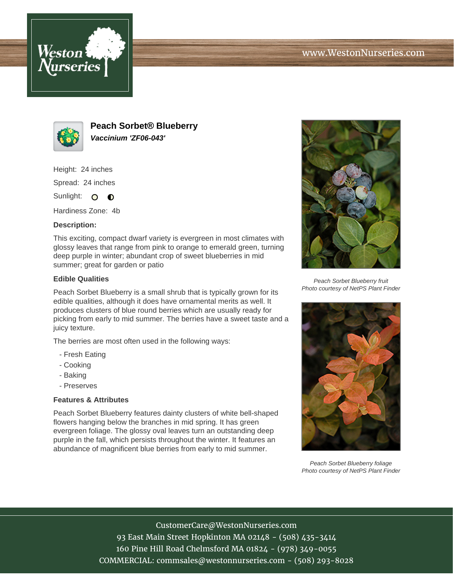



**Peach Sorbet® Blueberry Vaccinium 'ZF06-043'**

Height: 24 inches

Spread: 24 inches

Sunlight: O **O** 

Hardiness Zone: 4b

## **Description:**

This exciting, compact dwarf variety is evergreen in most climates with glossy leaves that range from pink to orange to emerald green, turning deep purple in winter; abundant crop of sweet blueberries in mid summer; great for garden or patio

## **Edible Qualities**

Peach Sorbet Blueberry is a small shrub that is typically grown for its edible qualities, although it does have ornamental merits as well. It produces clusters of blue round berries which are usually ready for picking from early to mid summer. The berries have a sweet taste and a juicy texture.

The berries are most often used in the following ways:

- Fresh Eating
- Cooking
- Baking
- Preserves

## **Features & Attributes**

Peach Sorbet Blueberry features dainty clusters of white bell-shaped flowers hanging below the branches in mid spring. It has green evergreen foliage. The glossy oval leaves turn an outstanding deep purple in the fall, which persists throughout the winter. It features an abundance of magnificent blue berries from early to mid summer.



Peach Sorbet Blueberry fruit Photo courtesy of NetPS Plant Finder



Peach Sorbet Blueberry foliage Photo courtesy of NetPS Plant Finder

CustomerCare@WestonNurseries.com 93 East Main Street Hopkinton MA 02148 - (508) 435-3414 160 Pine Hill Road Chelmsford MA 01824 - (978) 349-0055 COMMERCIAL: commsales@westonnurseries.com - (508) 293-8028